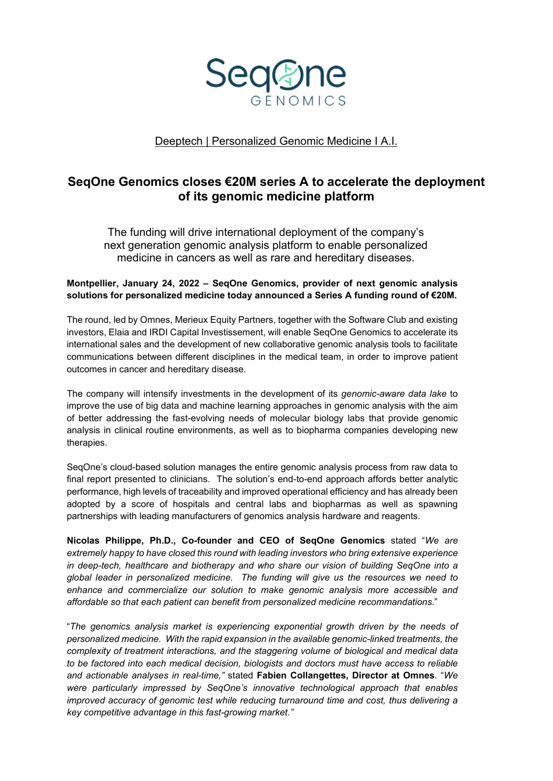

Deeptech | Personalized Genomic Medicine I A.I.

# **SeqOne Genomics closes €20M series A to accelerate the deployment of its genomic medicine platform**

The funding will drive international deployment of the company's next generation genomic analysis platform to enable personalized medicine in cancers as well as rare and hereditary diseases.

# **Montpellier, January 24, 2022 – SeqOne Genomics, provider of next genomic analysis solutions for personalized medicine today announced a Series A funding round of €20M.**

The round, led by Omnes, Merieux Equity Partners, together with the Software Club and existing investors, Elaia and IRDI Capital Investissement, will enable SeqOne Genomics to accelerate its international sales and the development of new collaborative genomic analysis tools to facilitate communications between different disciplines in the medical team, in order to improve patient outcomes in cancer and hereditary disease.

The company will intensify investments in the development of its *genomic-aware data lake* to improve the use of big data and machine learning approaches in genomic analysis with the aim of better addressing the fast-evolving needs of molecular biology labs that provide genomic analysis in clinical routine environments, as well as to biopharma companies developing new therapies.

SeqOne's cloud-based solution manages the entire genomic analysis process from raw data to final report presented to clinicians. The solution's end-to-end approach affords better analytic performance, high levels of traceability and improved operational efficiency and has already been adopted by a score of hospitals and central labs and biopharmas as well as spawning partnerships with leading manufacturers of genomics analysis hardware and reagents.

**Nicolas Philippe, Ph.D., Co-founder and CEO of SeqOne Genomics** stated "*We are extremely happy to have closed this round with leading investors who bring extensive experience in deep-tech, healthcare and biotherapy and who share our vision of building SeqOne into a global leader in personalized medicine. The funding will give us the resources we need to enhance and commercialize our solution to make genomic analysis more accessible and affordable so that each patient can benefit from personalized medicine recommandations.*"

"*The genomics analysis market is experiencing exponential growth driven by the needs of personalized medicine. With the rapid expansion in the available genomic-linked treatments, the complexity of treatment interactions, and the staggering volume of biological and medical data to be factored into each medical decision, biologists and doctors must have access to reliable and actionable analyses in real-time,"* stated **Fabien Collangettes, Director at Omnes**. "*We were particularly impressed by SeqOne's innovative technological approach that enables improved accuracy of genomic test while reducing turnaround time and cost, thus delivering a key competitive advantage in this fast-growing market."*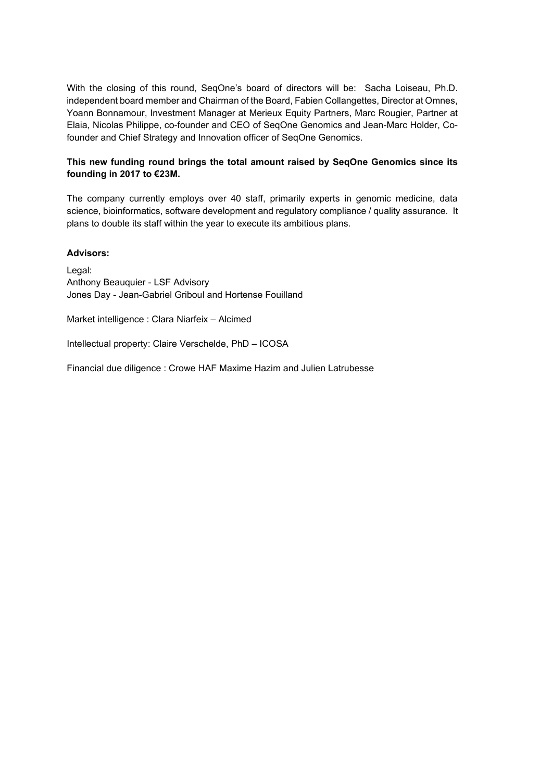With the closing of this round, SeqOne's board of directors will be: Sacha Loiseau, Ph.D. independent board member and Chairman of the Board, Fabien Collangettes, Director at Omnes, Yoann Bonnamour, Investment Manager at Merieux Equity Partners, Marc Rougier, Partner at Elaia, Nicolas Philippe, co-founder and CEO of SeqOne Genomics and Jean-Marc Holder, Cofounder and Chief Strategy and Innovation officer of SeqOne Genomics.

# **This new funding round brings the total amount raised by SeqOne Genomics since its founding in 2017 to €23M.**

The company currently employs over 40 staff, primarily experts in genomic medicine, data science, bioinformatics, software development and regulatory compliance / quality assurance. It plans to double its staff within the year to execute its ambitious plans.

#### **Advisors:**

Legal: Anthony Beauquier - LSF Advisory Jones Day - Jean-Gabriel Griboul and Hortense Fouilland

Market intelligence : Clara Niarfeix – Alcimed

Intellectual property: Claire Verschelde, PhD – ICOSA

Financial due diligence : Crowe HAF Maxime Hazim and Julien Latrubesse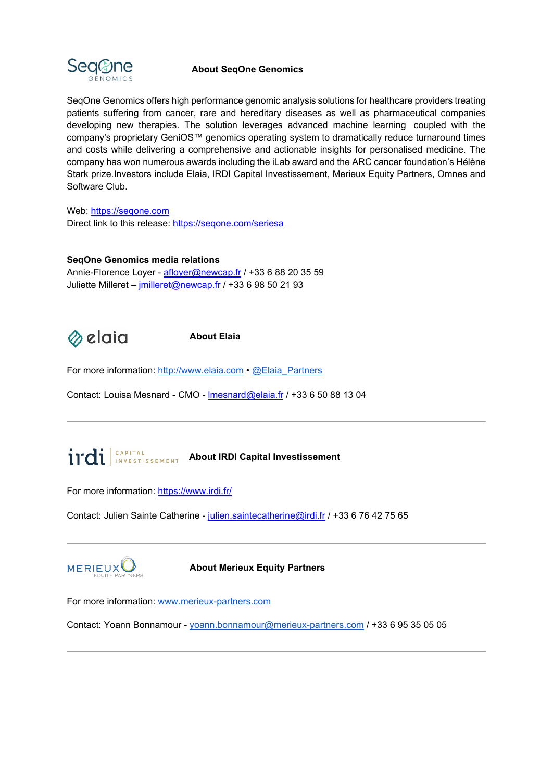

# **About SeqOne Genomics**

SeqOne Genomics offers high performance genomic analysis solutions for healthcare providers treating patients suffering from cancer, rare and hereditary diseases as well as pharmaceutical companies developing new therapies. The solution leverages advanced machine learning coupled with the company's proprietary GeniOS™ genomics operating system to dramatically reduce turnaround times and costs while delivering a comprehensive and actionable insights for personalised medicine. The company has won numerous awards including the iLab award and the ARC cancer foundation's Hélène Stark prize.Investors include Elaia, IRDI Capital Investissement, Merieux Equity Partners, Omnes and Software Club.

Web: [https://seqone.com](https://seqone.com/) Direct link to this release:<https://seqone.com/seriesa>

#### **SeqOne Genomics media relations**

Annie-Florence Loyer - [afloyer@newcap.fr](mailto:afloyer@newcap.fr) / +33 6 88 20 35 59 Juliette Milleret – [jmilleret@newcap.fr](mailto:jmilleret@newcap.fr) / +33 6 98 50 21 93

⊗elaia

**About Elaia**

For more information: [http://www.elaia.com](http://www.elaia.com/) • [@Elaia\\_Partners](https://twitter.com/Elaia_Partners)

Contact: Louisa Mesnard - CMO - [lmesnard@elaia.fr](mailto:lmesnard@elaia.fr) / +33 6 50 88 13 04

# **About IRDI CAPITAL About IRDI Capital Investissement**

For more information: <https://www.irdi.fr/>

Contact: Julien Sainte Catherine - [julien.saintecatherine@irdi.fr](mailto:julien.saintecatherine@irdi.fr) / +33 6 76 42 75 65



**About Merieux Equity Partners**

For more information: [www.merieux-partners.com](http://www.merieux-partners.com/)

Contact: Yoann Bonnamour - [yoann.bonnamour@merieux-partners.com](mailto:yoann.bonnamour@merieux-partners.com) / +33 6 95 35 05 05